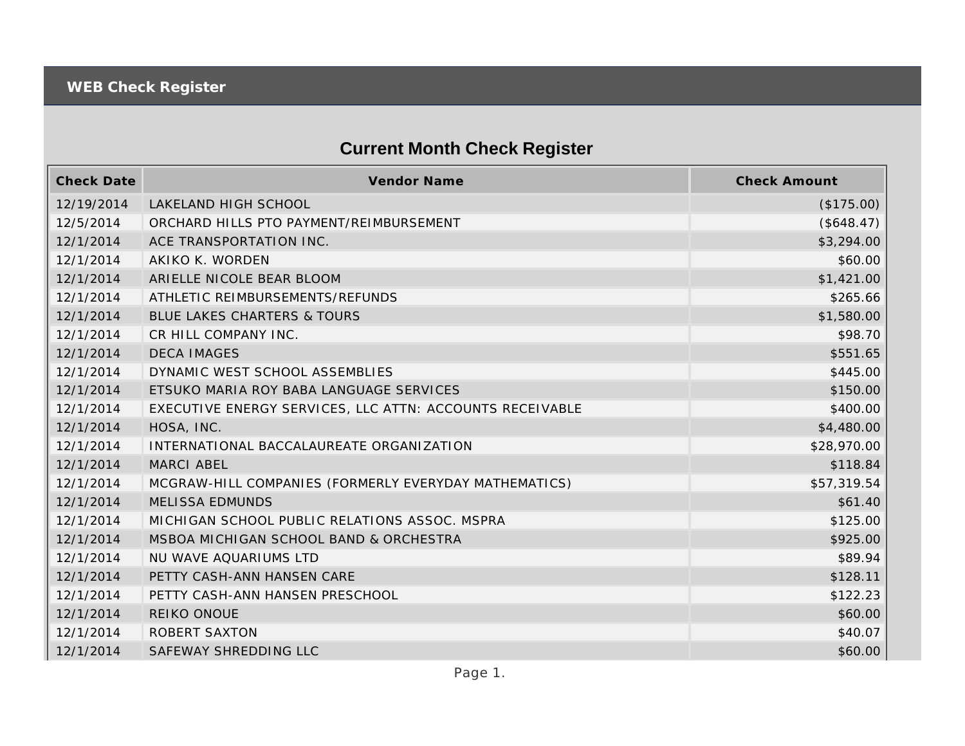## **Current Month Check Register**

| <b>Check Date</b> | Vendor Name                                              | <b>Check Amount</b> |
|-------------------|----------------------------------------------------------|---------------------|
| 12/19/2014        | LAKELAND HIGH SCHOOL                                     | (\$175.00)          |
| 12/5/2014         | ORCHARD HILLS PTO PAYMENT/REIMBURSEMENT                  | (\$648.47)          |
| 12/1/2014         | ACE TRANSPORTATION INC.                                  | \$3,294.00          |
| 12/1/2014         | AKIKO K. WORDEN                                          | \$60.00             |
| 12/1/2014         | ARIELLE NICOLE BEAR BLOOM                                | \$1,421.00          |
| 12/1/2014         | ATHLETIC REIMBURSEMENTS/REFUNDS                          | \$265.66            |
| 12/1/2014         | <b>BLUE LAKES CHARTERS &amp; TOURS</b>                   | \$1,580.00          |
| 12/1/2014         | CR HILL COMPANY INC.                                     | \$98.70             |
| 12/1/2014         | <b>DECA IMAGES</b>                                       | \$551.65            |
| 12/1/2014         | DYNAMIC WEST SCHOOL ASSEMBLIES                           | \$445.00            |
| 12/1/2014         | ETSUKO MARIA ROY BABA LANGUAGE SERVICES                  | \$150.00            |
| 12/1/2014         | EXECUTIVE ENERGY SERVICES, LLC ATTN: ACCOUNTS RECEIVABLE | \$400.00            |
| 12/1/2014         | HOSA, INC.                                               | \$4,480.00          |
| 12/1/2014         | INTERNATIONAL BACCALAUREATE ORGANIZATION                 | \$28,970.00         |
| 12/1/2014         | <b>MARCI ABEL</b>                                        | \$118.84            |
| 12/1/2014         | MCGRAW-HILL COMPANIES (FORMERLY EVERYDAY MATHEMATICS)    | \$57,319.54         |
| 12/1/2014         | <b>MELISSA EDMUNDS</b>                                   | \$61.40             |
| 12/1/2014         | MICHIGAN SCHOOL PUBLIC RELATIONS ASSOC. MSPRA            | \$125.00            |
| 12/1/2014         | MSBOA MICHIGAN SCHOOL BAND & ORCHESTRA                   | \$925.00            |
| 12/1/2014         | NU WAVE AQUARIUMS LTD                                    | \$89.94             |
| 12/1/2014         | PETTY CASH-ANN HANSEN CARE                               | \$128.11            |
| 12/1/2014         | PETTY CASH-ANN HANSEN PRESCHOOL                          | \$122.23            |
| 12/1/2014         | REIKO ONOUE                                              | \$60.00             |
| 12/1/2014         | <b>ROBERT SAXTON</b>                                     | \$40.07             |
| 12/1/2014         | SAFEWAY SHREDDING LLC                                    | \$60.00             |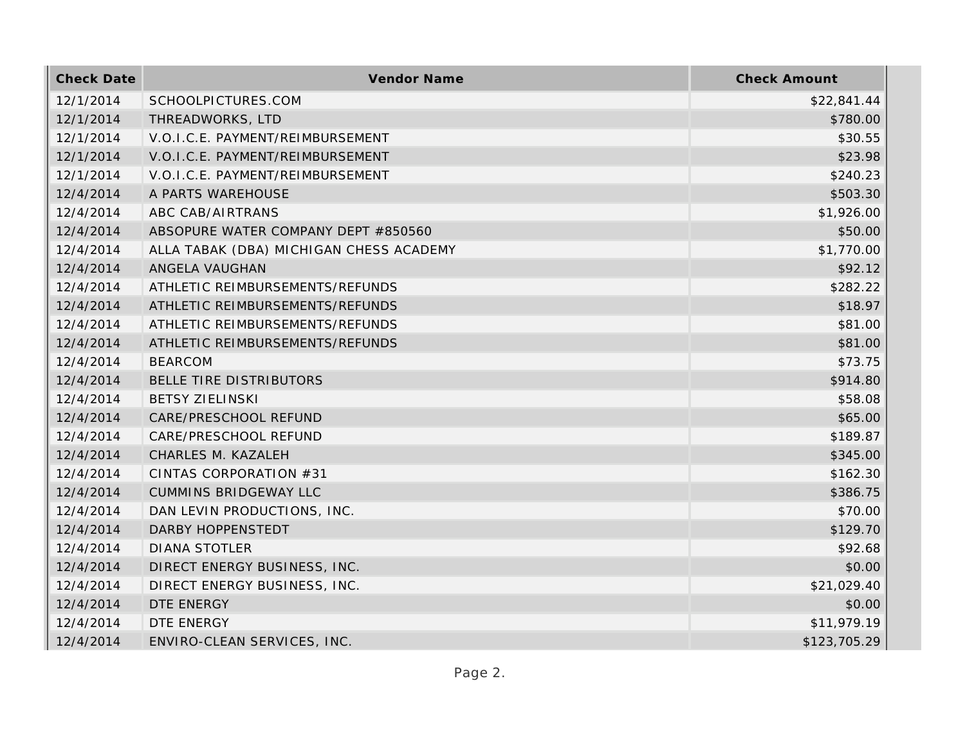| <b>Check Date</b> | Vendor Name                             | <b>Check Amount</b> |
|-------------------|-----------------------------------------|---------------------|
| 12/1/2014         | SCHOOLPICTURES.COM                      | \$22,841.44         |
| 12/1/2014         | THREADWORKS, LTD                        | \$780.00            |
| 12/1/2014         | V.O.I.C.E. PAYMENT/REIMBURSEMENT        | \$30.55             |
| 12/1/2014         | V.O.I.C.E. PAYMENT/REIMBURSEMENT        | \$23.98             |
| 12/1/2014         | V.O.I.C.E. PAYMENT/REIMBURSEMENT        | \$240.23            |
| 12/4/2014         | A PARTS WAREHOUSE                       | \$503.30            |
| 12/4/2014         | ABC CAB/AIRTRANS                        | \$1,926.00          |
| 12/4/2014         | ABSOPURE WATER COMPANY DEPT #850560     | \$50.00             |
| 12/4/2014         | ALLA TABAK (DBA) MICHIGAN CHESS ACADEMY | \$1,770.00          |
| 12/4/2014         | ANGELA VAUGHAN                          | \$92.12             |
| 12/4/2014         | ATHLETIC REIMBURSEMENTS/REFUNDS         | \$282.22            |
| 12/4/2014         | ATHLETIC REIMBURSEMENTS/REFUNDS         | \$18.97             |
| 12/4/2014         | ATHLETIC REIMBURSEMENTS/REFUNDS         | \$81.00             |
| 12/4/2014         | ATHLETIC REIMBURSEMENTS/REFUNDS         | \$81.00             |
| 12/4/2014         | <b>BEARCOM</b>                          | \$73.75             |
| 12/4/2014         | BELLE TIRE DISTRIBUTORS                 | \$914.80            |
| 12/4/2014         | <b>BETSY ZIELINSKI</b>                  | \$58.08             |
| 12/4/2014         | CARE/PRESCHOOL REFUND                   | \$65.00             |
| 12/4/2014         | CARE/PRESCHOOL REFUND                   | \$189.87            |
| 12/4/2014         | CHARLES M. KAZALEH                      | \$345.00            |
| 12/4/2014         | CINTAS CORPORATION #31                  | \$162.30            |
| 12/4/2014         | <b>CUMMINS BRIDGEWAY LLC</b>            | \$386.75            |
| 12/4/2014         | DAN LEVIN PRODUCTIONS, INC.             | \$70.00             |
| 12/4/2014         | DARBY HOPPENSTEDT                       | \$129.70            |
| 12/4/2014         | <b>DIANA STOTLER</b>                    | \$92.68             |
| 12/4/2014         | DIRECT ENERGY BUSINESS, INC.            | \$0.00              |
| 12/4/2014         | DIRECT ENERGY BUSINESS, INC.            | \$21,029.40         |
| 12/4/2014         | DTE ENERGY                              | \$0.00              |
| 12/4/2014         | DTE ENERGY                              | \$11,979.19         |
| 12/4/2014         | ENVIRO-CLEAN SERVICES, INC.             | \$123,705.29        |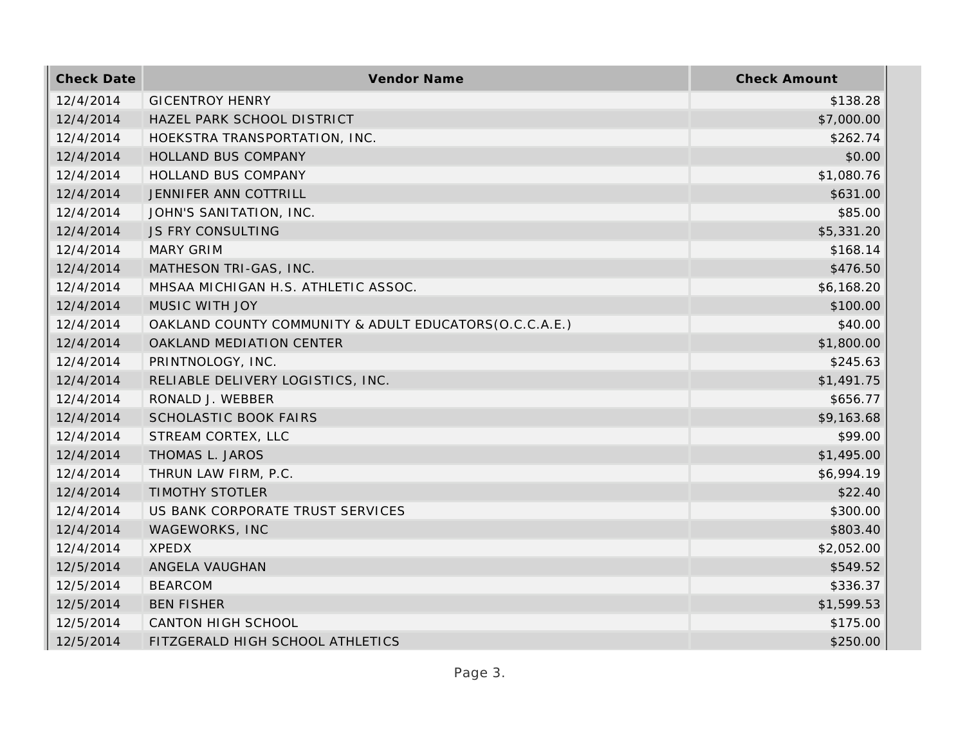| <b>Check Date</b> | Vendor Name                                            | <b>Check Amount</b> |
|-------------------|--------------------------------------------------------|---------------------|
| 12/4/2014         | <b>GICENTROY HENRY</b>                                 | \$138.28            |
| 12/4/2014         | HAZEL PARK SCHOOL DISTRICT                             | \$7,000.00          |
| 12/4/2014         | HOEKSTRA TRANSPORTATION, INC.                          | \$262.74            |
| 12/4/2014         | HOLLAND BUS COMPANY                                    | \$0.00              |
| 12/4/2014         | HOLLAND BUS COMPANY                                    | \$1,080.76          |
| 12/4/2014         | JENNIFER ANN COTTRILL                                  | \$631.00            |
| 12/4/2014         | JOHN'S SANITATION, INC.                                | \$85.00             |
| 12/4/2014         | <b>JS FRY CONSULTING</b>                               | \$5,331.20          |
| 12/4/2014         | <b>MARY GRIM</b>                                       | \$168.14            |
| 12/4/2014         | MATHESON TRI-GAS, INC.                                 | \$476.50            |
| 12/4/2014         | MHSAA MICHIGAN H.S. ATHLETIC ASSOC.                    | \$6,168.20          |
| 12/4/2014         | MUSIC WITH JOY                                         | \$100.00            |
| 12/4/2014         | OAKLAND COUNTY COMMUNITY & ADULT EDUCATORS(O.C.C.A.E.) | \$40.00             |
| 12/4/2014         | OAKLAND MEDIATION CENTER                               | \$1,800.00          |
| 12/4/2014         | PRINTNOLOGY, INC.                                      | \$245.63            |
| 12/4/2014         | RELIABLE DELIVERY LOGISTICS, INC.                      | \$1,491.75          |
| 12/4/2014         | RONALD J. WEBBER                                       | \$656.77            |
| 12/4/2014         | <b>SCHOLASTIC BOOK FAIRS</b>                           | \$9,163.68          |
| 12/4/2014         | STREAM CORTEX, LLC                                     | \$99.00             |
| 12/4/2014         | THOMAS L. JAROS                                        | \$1,495.00          |
| 12/4/2014         | THRUN LAW FIRM, P.C.                                   | \$6,994.19          |
| 12/4/2014         | <b>TIMOTHY STOTLER</b>                                 | \$22.40             |
| 12/4/2014         | US BANK CORPORATE TRUST SERVICES                       | \$300.00            |
| 12/4/2014         | WAGEWORKS, INC                                         | \$803.40            |
| 12/4/2014         | <b>XPEDX</b>                                           | \$2,052.00          |
| 12/5/2014         | ANGELA VAUGHAN                                         | \$549.52            |
| 12/5/2014         | <b>BEARCOM</b>                                         | \$336.37            |
| 12/5/2014         | <b>BEN FISHER</b>                                      | \$1,599.53          |
| 12/5/2014         | CANTON HIGH SCHOOL                                     | \$175.00            |
| 12/5/2014         | FITZGERALD HIGH SCHOOL ATHLETICS                       | \$250.00            |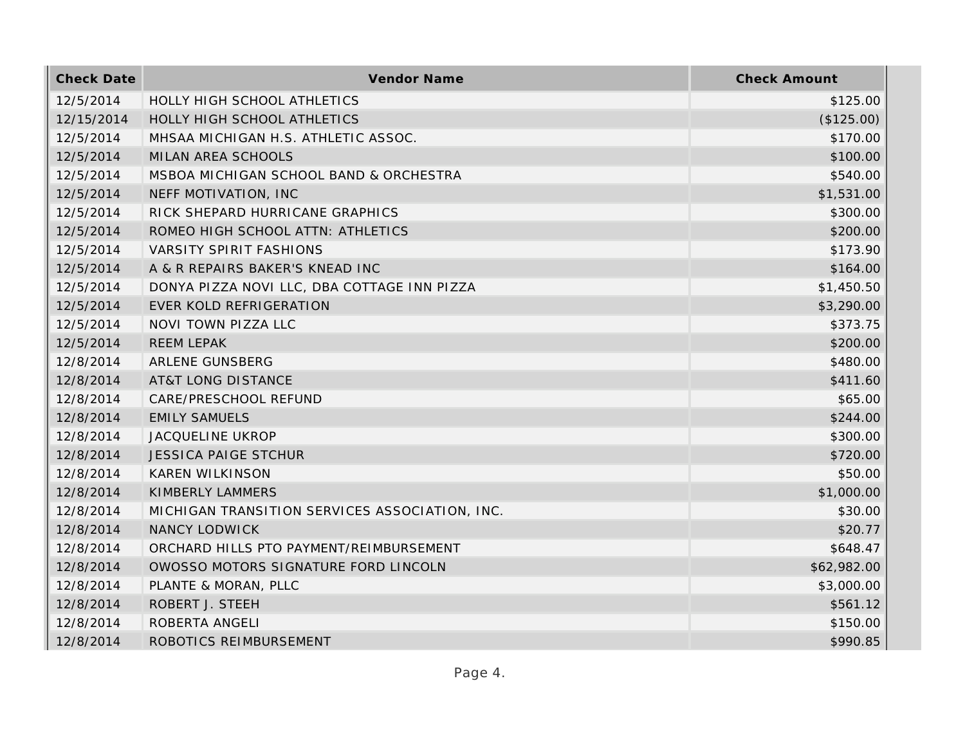| <b>Check Date</b> | <b>Vendor Name</b>                             | <b>Check Amount</b> |
|-------------------|------------------------------------------------|---------------------|
| 12/5/2014         | HOLLY HIGH SCHOOL ATHLETICS                    | \$125.00            |
| 12/15/2014        | HOLLY HIGH SCHOOL ATHLETICS                    | (\$125.00)          |
| 12/5/2014         | MHSAA MICHIGAN H.S. ATHLETIC ASSOC.            | \$170.00            |
| 12/5/2014         | MILAN AREA SCHOOLS                             | \$100.00            |
| 12/5/2014         | MSBOA MICHIGAN SCHOOL BAND & ORCHESTRA         | \$540.00            |
| 12/5/2014         | NEFF MOTIVATION, INC                           | \$1,531.00          |
| 12/5/2014         | RICK SHEPARD HURRICANE GRAPHICS                | \$300.00            |
| 12/5/2014         | ROMEO HIGH SCHOOL ATTN: ATHLETICS              | \$200.00            |
| 12/5/2014         | <b>VARSITY SPIRIT FASHIONS</b>                 | \$173.90            |
| 12/5/2014         | A & R REPAIRS BAKER'S KNEAD INC                | \$164.00            |
| 12/5/2014         | DONYA PIZZA NOVI LLC, DBA COTTAGE INN PIZZA    | \$1,450.50          |
| 12/5/2014         | EVER KOLD REFRIGERATION                        | \$3,290.00          |
| 12/5/2014         | NOVI TOWN PIZZA LLC                            | \$373.75            |
| 12/5/2014         | <b>REEM LEPAK</b>                              | \$200.00            |
| 12/8/2014         | ARLENE GUNSBERG                                | \$480.00            |
| 12/8/2014         | <b>AT&amp;T LONG DISTANCE</b>                  | \$411.60            |
| 12/8/2014         | CARE/PRESCHOOL REFUND                          | \$65.00             |
| 12/8/2014         | <b>EMILY SAMUELS</b>                           | \$244.00            |
| 12/8/2014         | <b>JACQUELINE UKROP</b>                        | \$300.00            |
| 12/8/2014         | <b>JESSICA PAIGE STCHUR</b>                    | \$720.00            |
| 12/8/2014         | <b>KAREN WILKINSON</b>                         | \$50.00             |
| 12/8/2014         | KIMBERLY LAMMERS                               | \$1,000.00          |
| 12/8/2014         | MICHIGAN TRANSITION SERVICES ASSOCIATION, INC. | \$30.00             |
| 12/8/2014         | NANCY LODWICK                                  | \$20.77             |
| 12/8/2014         | ORCHARD HILLS PTO PAYMENT/REIMBURSEMENT        | \$648.47            |
| 12/8/2014         | OWOSSO MOTORS SIGNATURE FORD LINCOLN           | \$62,982.00         |
| 12/8/2014         | PLANTE & MORAN, PLLC                           | \$3,000.00          |
| 12/8/2014         | ROBERT J. STEEH                                | \$561.12            |
| 12/8/2014         | ROBERTA ANGELI                                 | \$150.00            |
| 12/8/2014         | ROBOTICS REIMBURSEMENT                         | \$990.85            |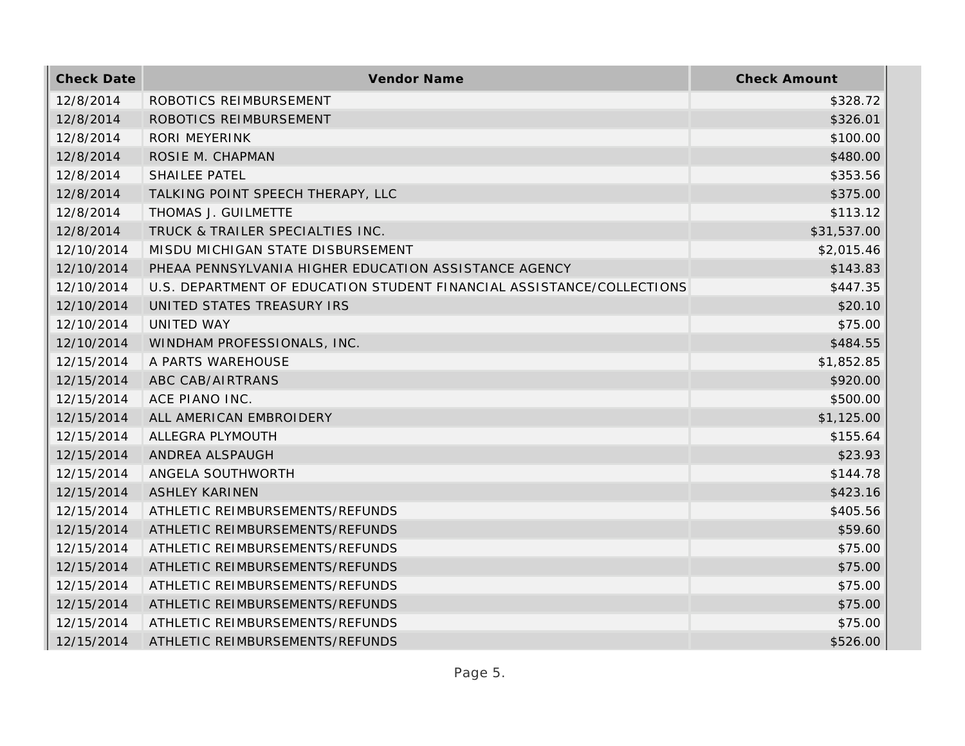| <b>Check Date</b> | Vendor Name                                                           | <b>Check Amount</b> |
|-------------------|-----------------------------------------------------------------------|---------------------|
| 12/8/2014         | ROBOTICS REIMBURSEMENT                                                | \$328.72            |
| 12/8/2014         | ROBOTICS REIMBURSEMENT                                                | \$326.01            |
| 12/8/2014         | RORI MEYERINK                                                         | \$100.00            |
| 12/8/2014         | ROSIE M. CHAPMAN                                                      | \$480.00            |
| 12/8/2014         | <b>SHAILEE PATEL</b>                                                  | \$353.56            |
| 12/8/2014         | TALKING POINT SPEECH THERAPY, LLC                                     | \$375.00            |
| 12/8/2014         | THOMAS J. GUILMETTE                                                   | \$113.12            |
| 12/8/2014         | TRUCK & TRAILER SPECIALTIES INC.                                      | \$31,537.00         |
| 12/10/2014        | MISDU MICHIGAN STATE DISBURSEMENT                                     | \$2,015.46          |
| 12/10/2014        | PHEAA PENNSYLVANIA HIGHER EDUCATION ASSISTANCE AGENCY                 | \$143.83            |
| 12/10/2014        | U.S. DEPARTMENT OF EDUCATION STUDENT FINANCIAL ASSISTANCE/COLLECTIONS | \$447.35            |
| 12/10/2014        | UNITED STATES TREASURY IRS                                            | \$20.10             |
| 12/10/2014        | UNITED WAY                                                            | \$75.00             |
| 12/10/2014        | WINDHAM PROFESSIONALS, INC.                                           | \$484.55            |
| 12/15/2014        | A PARTS WAREHOUSE                                                     | \$1,852.85          |
| 12/15/2014        | ABC CAB/AIRTRANS                                                      | \$920.00            |
| 12/15/2014        | ACE PIANO INC.                                                        | \$500.00            |
| 12/15/2014        | ALL AMERICAN EMBROIDERY                                               | \$1,125.00          |
| 12/15/2014        | ALLEGRA PLYMOUTH                                                      | \$155.64            |
| 12/15/2014        | ANDREA ALSPAUGH                                                       | \$23.93             |
| 12/15/2014        | ANGELA SOUTHWORTH                                                     | \$144.78            |
| 12/15/2014        | <b>ASHLEY KARINEN</b>                                                 | \$423.16            |
| 12/15/2014        | ATHLETIC REIMBURSEMENTS/REFUNDS                                       | \$405.56            |
| 12/15/2014        | ATHLETIC REIMBURSEMENTS/REFUNDS                                       | \$59.60             |
| 12/15/2014        | ATHLETIC REIMBURSEMENTS/REFUNDS                                       | \$75.00             |
| 12/15/2014        | ATHLETIC REIMBURSEMENTS/REFUNDS                                       | \$75.00             |
| 12/15/2014        | ATHLETIC REIMBURSEMENTS/REFUNDS                                       | \$75.00             |
| 12/15/2014        | ATHLETIC REIMBURSEMENTS/REFUNDS                                       | \$75.00             |
| 12/15/2014        | ATHLETIC REIMBURSEMENTS/REFUNDS                                       | \$75.00             |
| 12/15/2014        | ATHLETIC REIMBURSEMENTS/REFUNDS                                       | \$526.00            |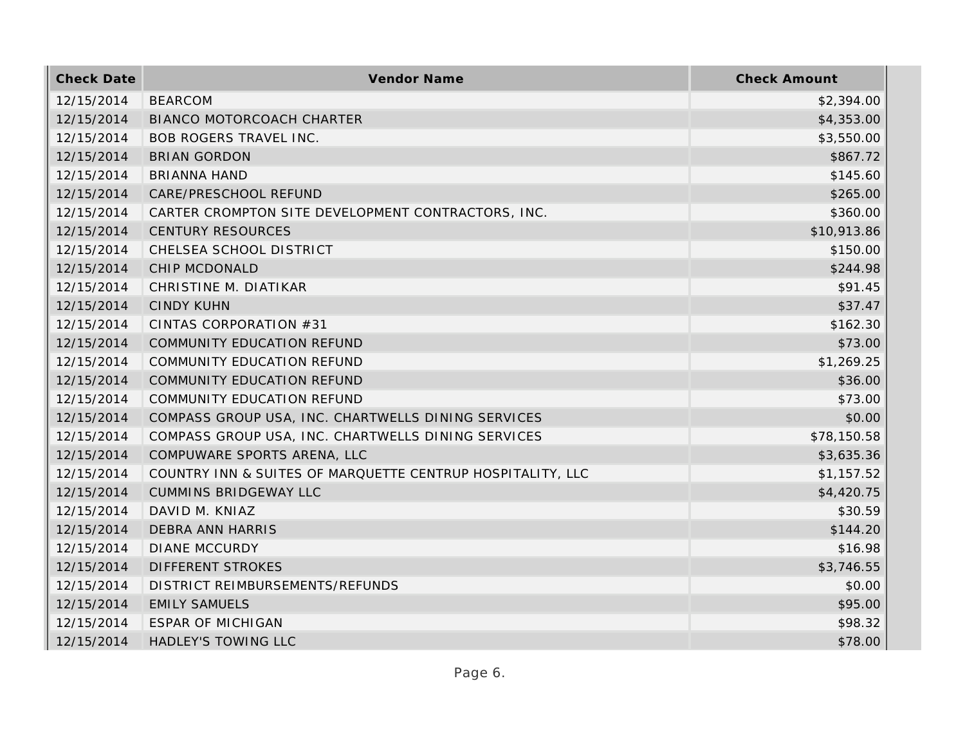| <b>Check Date</b> | Vendor Name                                                | <b>Check Amount</b> |
|-------------------|------------------------------------------------------------|---------------------|
| 12/15/2014        | <b>BEARCOM</b>                                             | \$2,394.00          |
| 12/15/2014        | <b>BIANCO MOTORCOACH CHARTER</b>                           | \$4,353.00          |
| 12/15/2014        | <b>BOB ROGERS TRAVEL INC.</b>                              | \$3,550.00          |
| 12/15/2014        | <b>BRIAN GORDON</b>                                        | \$867.72            |
| 12/15/2014        | <b>BRIANNA HAND</b>                                        | \$145.60            |
| 12/15/2014        | CARE/PRESCHOOL REFUND                                      | \$265.00            |
| 12/15/2014        | CARTER CROMPTON SITE DEVELOPMENT CONTRACTORS, INC.         | \$360.00            |
| 12/15/2014        | <b>CENTURY RESOURCES</b>                                   | \$10,913.86         |
| 12/15/2014        | CHELSEA SCHOOL DISTRICT                                    | \$150.00            |
| 12/15/2014        | CHIP MCDONALD                                              | \$244.98            |
| 12/15/2014        | CHRISTINE M. DIATIKAR                                      | \$91.45             |
| 12/15/2014        | <b>CINDY KUHN</b>                                          | \$37.47             |
| 12/15/2014        | CINTAS CORPORATION #31                                     | \$162.30            |
| 12/15/2014        | COMMUNITY EDUCATION REFUND                                 | \$73.00             |
| 12/15/2014        | COMMUNITY EDUCATION REFUND                                 | \$1,269.25          |
| 12/15/2014        | COMMUNITY EDUCATION REFUND                                 | \$36.00             |
| 12/15/2014        | COMMUNITY EDUCATION REFUND                                 | \$73.00             |
| 12/15/2014        | COMPASS GROUP USA, INC. CHARTWELLS DINING SERVICES         | \$0.00              |
| 12/15/2014        | COMPASS GROUP USA, INC. CHARTWELLS DINING SERVICES         | \$78,150.58         |
| 12/15/2014        | COMPUWARE SPORTS ARENA, LLC                                | \$3,635.36          |
| 12/15/2014        | COUNTRY INN & SUITES OF MARQUETTE CENTRUP HOSPITALITY, LLC | \$1,157.52          |
| 12/15/2014        | <b>CUMMINS BRIDGEWAY LLC</b>                               | \$4,420.75          |
| 12/15/2014        | DAVID M. KNIAZ                                             | \$30.59             |
| 12/15/2014        | <b>DEBRA ANN HARRIS</b>                                    | \$144.20            |
| 12/15/2014        | <b>DIANE MCCURDY</b>                                       | \$16.98             |
| 12/15/2014        | <b>DIFFERENT STROKES</b>                                   | \$3,746.55          |
| 12/15/2014        | DISTRICT REIMBURSEMENTS/REFUNDS                            | \$0.00              |
| 12/15/2014        | <b>EMILY SAMUELS</b>                                       | \$95.00             |
| 12/15/2014        | <b>ESPAR OF MICHIGAN</b>                                   | \$98.32             |
| 12/15/2014        | <b>HADLEY'S TOWING LLC</b>                                 | \$78.00             |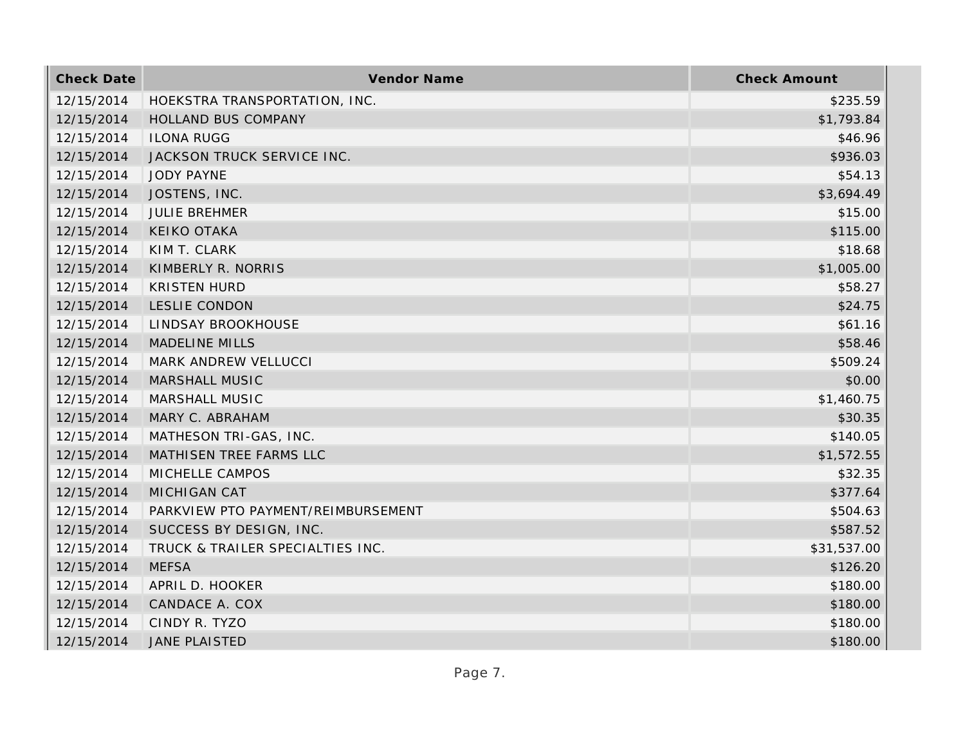| <b>Check Date</b> | <b>Vendor Name</b>                 | <b>Check Amount</b> |
|-------------------|------------------------------------|---------------------|
| 12/15/2014        | HOEKSTRA TRANSPORTATION, INC.      | \$235.59            |
| 12/15/2014        | HOLLAND BUS COMPANY                | \$1,793.84          |
| 12/15/2014        | <b>ILONA RUGG</b>                  | \$46.96             |
| 12/15/2014        | JACKSON TRUCK SERVICE INC.         | \$936.03            |
| 12/15/2014        | <b>JODY PAYNE</b>                  | \$54.13             |
| 12/15/2014        | JOSTENS, INC.                      | \$3,694.49          |
| 12/15/2014        | <b>JULIE BREHMER</b>               | \$15.00             |
| 12/15/2014        | <b>KEIKO OTAKA</b>                 | \$115.00            |
| 12/15/2014        | KIM T. CLARK                       | \$18.68             |
| 12/15/2014        | KIMBERLY R. NORRIS                 | \$1,005.00          |
| 12/15/2014        | <b>KRISTEN HURD</b>                | \$58.27             |
| 12/15/2014        | <b>LESLIE CONDON</b>               | \$24.75             |
| 12/15/2014        | LINDSAY BROOKHOUSE                 | \$61.16             |
| 12/15/2014        | <b>MADELINE MILLS</b>              | \$58.46             |
| 12/15/2014        | MARK ANDREW VELLUCCI               | \$509.24            |
| 12/15/2014        | MARSHALL MUSIC                     | \$0.00              |
| 12/15/2014        | <b>MARSHALL MUSIC</b>              | \$1,460.75          |
| 12/15/2014        | MARY C. ABRAHAM                    | \$30.35             |
| 12/15/2014        | MATHESON TRI-GAS, INC.             | \$140.05            |
| 12/15/2014        | MATHISEN TREE FARMS LLC            | \$1,572.55          |
| 12/15/2014        | MICHELLE CAMPOS                    | \$32.35             |
| 12/15/2014        | <b>MICHIGAN CAT</b>                | \$377.64            |
| 12/15/2014        | PARKVIEW PTO PAYMENT/REIMBURSEMENT | \$504.63            |
| 12/15/2014        | SUCCESS BY DESIGN, INC.            | \$587.52            |
| 12/15/2014        | TRUCK & TRAILER SPECIALTIES INC.   | \$31,537.00         |
| 12/15/2014        | <b>MEFSA</b>                       | \$126.20            |
| 12/15/2014        | APRIL D. HOOKER                    | \$180.00            |
| 12/15/2014        | CANDACE A. COX                     | \$180.00            |
| 12/15/2014        | CINDY R. TYZO                      | \$180.00            |
| 12/15/2014        | <b>JANE PLAISTED</b>               | \$180.00            |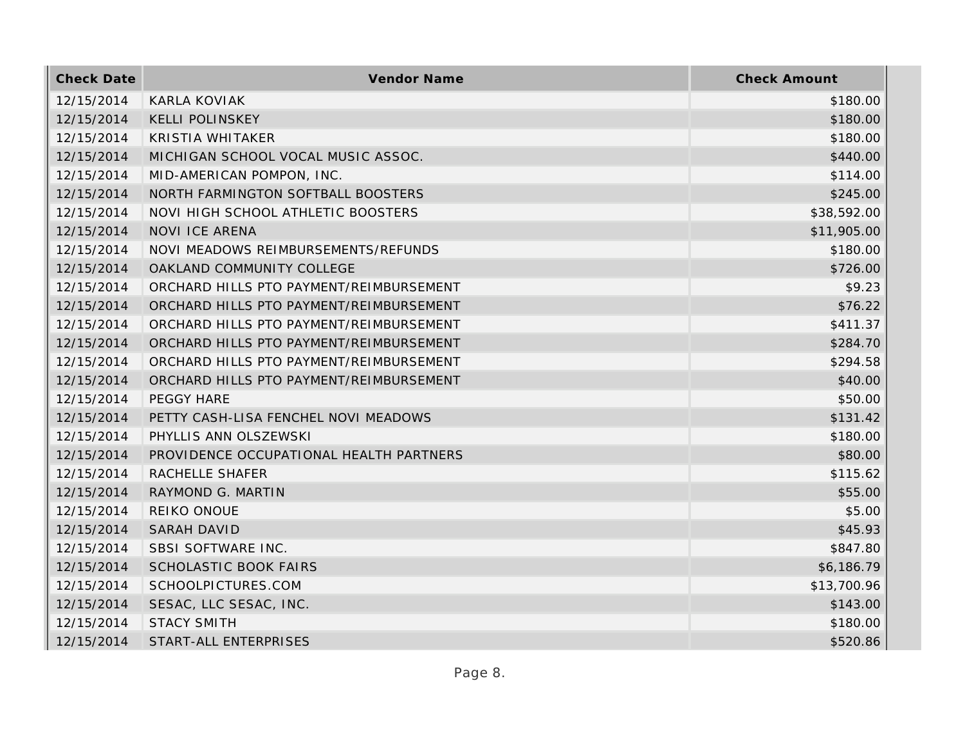| <b>Check Date</b> | Vendor Name                             | <b>Check Amount</b> |
|-------------------|-----------------------------------------|---------------------|
| 12/15/2014        | KARLA KOVIAK                            | \$180.00            |
| 12/15/2014        | <b>KELLI POLINSKEY</b>                  | \$180.00            |
| 12/15/2014        | <b>KRISTIA WHITAKER</b>                 | \$180.00            |
| 12/15/2014        | MICHIGAN SCHOOL VOCAL MUSIC ASSOC.      | \$440.00            |
| 12/15/2014        | MID-AMERICAN POMPON, INC.               | \$114.00            |
| 12/15/2014        | NORTH FARMINGTON SOFTBALL BOOSTERS      | \$245.00            |
| 12/15/2014        | NOVI HIGH SCHOOL ATHLETIC BOOSTERS      | \$38,592.00         |
| 12/15/2014        | <b>NOVI ICE ARENA</b>                   | \$11,905.00         |
| 12/15/2014        | NOVI MEADOWS REIMBURSEMENTS/REFUNDS     | \$180.00            |
| 12/15/2014        | OAKLAND COMMUNITY COLLEGE               | \$726.00            |
| 12/15/2014        | ORCHARD HILLS PTO PAYMENT/REIMBURSEMENT | \$9.23              |
| 12/15/2014        | ORCHARD HILLS PTO PAYMENT/REIMBURSEMENT | \$76.22             |
| 12/15/2014        | ORCHARD HILLS PTO PAYMENT/REIMBURSEMENT | \$411.37            |
| 12/15/2014        | ORCHARD HILLS PTO PAYMENT/REIMBURSEMENT | \$284.70            |
| 12/15/2014        | ORCHARD HILLS PTO PAYMENT/REIMBURSEMENT | \$294.58            |
| 12/15/2014        | ORCHARD HILLS PTO PAYMENT/REIMBURSEMENT | \$40.00             |
| 12/15/2014        | PEGGY HARE                              | \$50.00             |
| 12/15/2014        | PETTY CASH-LISA FENCHEL NOVI MEADOWS    | \$131.42            |
| 12/15/2014        | PHYLLIS ANN OLSZEWSKI                   | \$180.00            |
| 12/15/2014        | PROVIDENCE OCCUPATIONAL HEALTH PARTNERS | \$80.00             |
| 12/15/2014        | RACHELLE SHAFER                         | \$115.62            |
| 12/15/2014        | RAYMOND G. MARTIN                       | \$55.00             |
| 12/15/2014        | REIKO ONOUE                             | \$5.00              |
| 12/15/2014        | <b>SARAH DAVID</b>                      | \$45.93             |
| 12/15/2014        | SBSI SOFTWARE INC.                      | \$847.80            |
| 12/15/2014        | <b>SCHOLASTIC BOOK FAIRS</b>            | \$6,186.79          |
| 12/15/2014        | SCHOOLPICTURES.COM                      | \$13,700.96         |
| 12/15/2014        | SESAC, LLC SESAC, INC.                  | \$143.00            |
| 12/15/2014        | <b>STACY SMITH</b>                      | \$180.00            |
| 12/15/2014        | START-ALL ENTERPRISES                   | \$520.86            |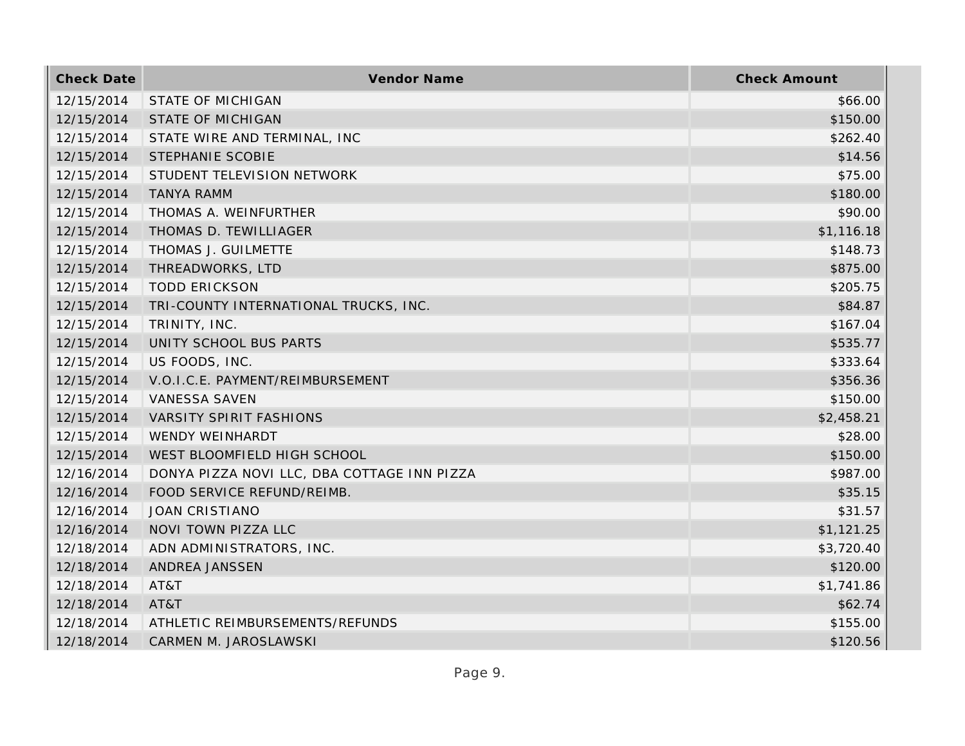| <b>Check Date</b> | Vendor Name                                 | <b>Check Amount</b> |
|-------------------|---------------------------------------------|---------------------|
| 12/15/2014        | STATE OF MICHIGAN                           | \$66.00             |
| 12/15/2014        | <b>STATE OF MICHIGAN</b>                    | \$150.00            |
| 12/15/2014        | STATE WIRE AND TERMINAL, INC                | \$262.40            |
| 12/15/2014        | STEPHANIE SCOBIE                            | \$14.56             |
| 12/15/2014        | STUDENT TELEVISION NETWORK                  | \$75.00             |
| 12/15/2014        | <b>TANYA RAMM</b>                           | \$180.00            |
| 12/15/2014        | THOMAS A. WEINFURTHER                       | \$90.00             |
| 12/15/2014        | THOMAS D. TEWILLIAGER                       | \$1,116.18          |
| 12/15/2014        | THOMAS J. GUILMETTE                         | \$148.73            |
| 12/15/2014        | THREADWORKS, LTD                            | \$875.00            |
| 12/15/2014        | <b>TODD ERICKSON</b>                        | \$205.75            |
| 12/15/2014        | TRI-COUNTY INTERNATIONAL TRUCKS, INC.       | \$84.87             |
| 12/15/2014        | TRINITY, INC.                               | \$167.04            |
| 12/15/2014        | UNITY SCHOOL BUS PARTS                      | \$535.77            |
| 12/15/2014        | US FOODS, INC.                              | \$333.64            |
| 12/15/2014        | V.O.I.C.E. PAYMENT/REIMBURSEMENT            | \$356.36            |
| 12/15/2014        | <b>VANESSA SAVEN</b>                        | \$150.00            |
| 12/15/2014        | <b>VARSITY SPIRIT FASHIONS</b>              | \$2,458.21          |
| 12/15/2014        | WENDY WEINHARDT                             | \$28.00             |
| 12/15/2014        | WEST BLOOMFIELD HIGH SCHOOL                 | \$150.00            |
| 12/16/2014        | DONYA PIZZA NOVI LLC, DBA COTTAGE INN PIZZA | \$987.00            |
| 12/16/2014        | FOOD SERVICE REFUND/REIMB.                  | \$35.15             |
| 12/16/2014        | <b>JOAN CRISTIANO</b>                       | \$31.57             |
| 12/16/2014        | NOVI TOWN PIZZA LLC                         | \$1,121.25          |
| 12/18/2014        | ADN ADMINISTRATORS, INC.                    | \$3,720.40          |
| 12/18/2014        | ANDREA JANSSEN                              | \$120.00            |
| 12/18/2014        | AT&T                                        | \$1,741.86          |
| 12/18/2014        | AT&T                                        | \$62.74             |
| 12/18/2014        | ATHLETIC REIMBURSEMENTS/REFUNDS             | \$155.00            |
| 12/18/2014        | CARMEN M. JAROSLAWSKI                       | \$120.56            |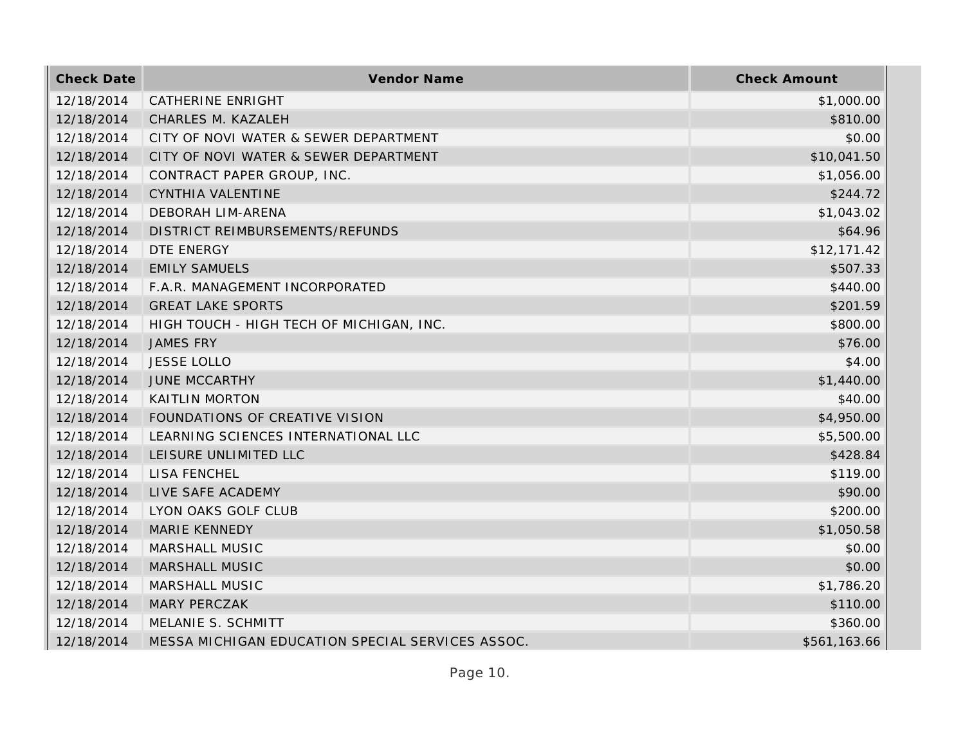| <b>Check Date</b> | Vendor Name                                      | <b>Check Amount</b> |
|-------------------|--------------------------------------------------|---------------------|
| 12/18/2014        | CATHERINE ENRIGHT                                | \$1,000.00          |
| 12/18/2014        | CHARLES M. KAZALEH                               | \$810.00            |
| 12/18/2014        | CITY OF NOVI WATER & SEWER DEPARTMENT            | \$0.00              |
| 12/18/2014        | CITY OF NOVI WATER & SEWER DEPARTMENT            | \$10,041.50         |
| 12/18/2014        | CONTRACT PAPER GROUP, INC.                       | \$1,056.00          |
| 12/18/2014        | CYNTHIA VALENTINE                                | \$244.72            |
| 12/18/2014        | <b>DEBORAH LIM-ARENA</b>                         | \$1,043.02          |
| 12/18/2014        | DISTRICT REIMBURSEMENTS/REFUNDS                  | \$64.96             |
| 12/18/2014        | DTE ENERGY                                       | \$12,171.42         |
| 12/18/2014        | <b>EMILY SAMUELS</b>                             | \$507.33            |
| 12/18/2014        | F.A.R. MANAGEMENT INCORPORATED                   | \$440.00            |
| 12/18/2014        | <b>GREAT LAKE SPORTS</b>                         | \$201.59            |
| 12/18/2014        | HIGH TOUCH - HIGH TECH OF MICHIGAN, INC.         | \$800.00            |
| 12/18/2014        | <b>JAMES FRY</b>                                 | \$76.00             |
| 12/18/2014        | <b>JESSE LOLLO</b>                               | \$4.00              |
| 12/18/2014        | <b>JUNE MCCARTHY</b>                             | \$1,440.00          |
| 12/18/2014        | <b>KAITLIN MORTON</b>                            | \$40.00             |
| 12/18/2014        | FOUNDATIONS OF CREATIVE VISION                   | \$4,950.00          |
| 12/18/2014        | LEARNING SCIENCES INTERNATIONAL LLC              | \$5,500.00          |
| 12/18/2014        | LEISURE UNLIMITED LLC                            | \$428.84            |
| 12/18/2014        | LISA FENCHEL                                     | \$119.00            |
| 12/18/2014        | LIVE SAFE ACADEMY                                | \$90.00             |
| 12/18/2014        | LYON OAKS GOLF CLUB                              | \$200.00            |
| 12/18/2014        | MARIE KENNEDY                                    | \$1,050.58          |
| 12/18/2014        | MARSHALL MUSIC                                   | \$0.00              |
| 12/18/2014        | MARSHALL MUSIC                                   | \$0.00              |
| 12/18/2014        | MARSHALL MUSIC                                   | \$1,786.20          |
| 12/18/2014        | <b>MARY PERCZAK</b>                              | \$110.00            |
| 12/18/2014        | MELANIE S. SCHMITT                               | \$360.00            |
| 12/18/2014        | MESSA MICHIGAN EDUCATION SPECIAL SERVICES ASSOC. | \$561,163.66        |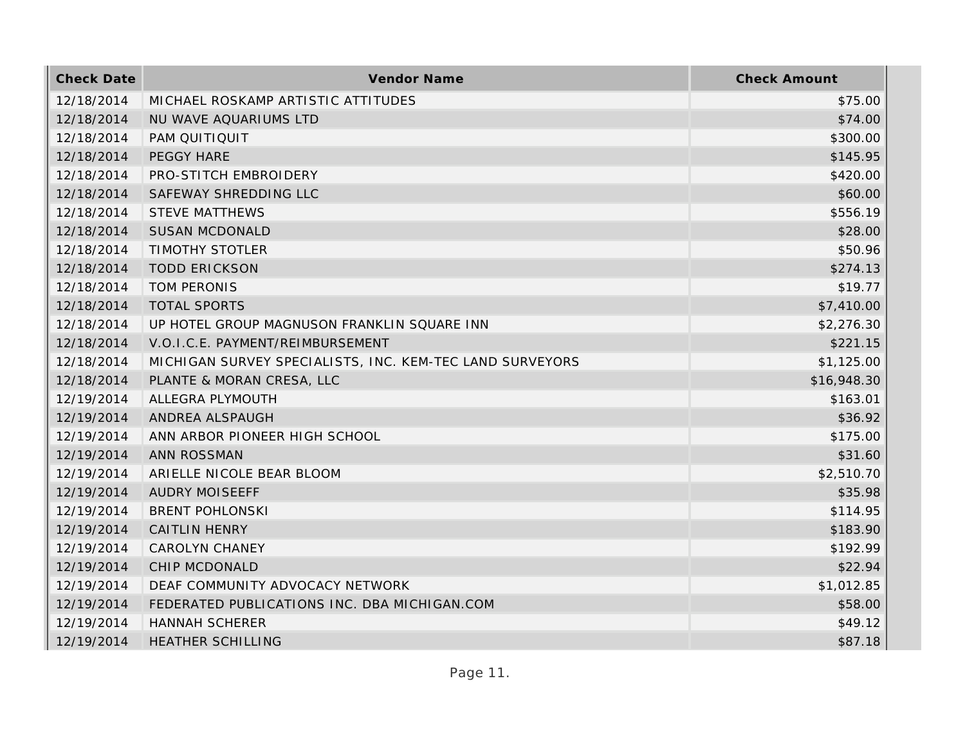| <b>Check Date</b> | Vendor Name                                              | <b>Check Amount</b> |
|-------------------|----------------------------------------------------------|---------------------|
| 12/18/2014        | MICHAEL ROSKAMP ARTISTIC ATTITUDES                       | \$75.00             |
| 12/18/2014        | NU WAVE AQUARIUMS LTD                                    | \$74.00             |
| 12/18/2014        | PAM QUITIQUIT                                            | \$300.00            |
| 12/18/2014        | PEGGY HARE                                               | \$145.95            |
| 12/18/2014        | PRO-STITCH EMBROIDERY                                    | \$420.00            |
| 12/18/2014        | SAFEWAY SHREDDING LLC                                    | \$60.00             |
| 12/18/2014        | <b>STEVE MATTHEWS</b>                                    | \$556.19            |
| 12/18/2014        | <b>SUSAN MCDONALD</b>                                    | \$28.00             |
| 12/18/2014        | <b>TIMOTHY STOTLER</b>                                   | \$50.96             |
| 12/18/2014        | <b>TODD ERICKSON</b>                                     | \$274.13            |
| 12/18/2014        | <b>TOM PERONIS</b>                                       | \$19.77             |
| 12/18/2014        | <b>TOTAL SPORTS</b>                                      | \$7,410.00          |
| 12/18/2014        | UP HOTEL GROUP MAGNUSON FRANKLIN SQUARE INN              | \$2,276.30          |
| 12/18/2014        | V.O.I.C.E. PAYMENT/REIMBURSEMENT                         | \$221.15            |
| 12/18/2014        | MICHIGAN SURVEY SPECIALISTS, INC. KEM-TEC LAND SURVEYORS | \$1,125.00          |
| 12/18/2014        | PLANTE & MORAN CRESA, LLC                                | \$16,948.30         |
| 12/19/2014        | ALLEGRA PLYMOUTH                                         | \$163.01            |
| 12/19/2014        | ANDREA ALSPAUGH                                          | \$36.92             |
| 12/19/2014        | ANN ARBOR PIONEER HIGH SCHOOL                            | \$175.00            |
| 12/19/2014        | <b>ANN ROSSMAN</b>                                       | \$31.60             |
| 12/19/2014        | ARIELLE NICOLE BEAR BLOOM                                | \$2,510.70          |
| 12/19/2014        | <b>AUDRY MOISEEFF</b>                                    | \$35.98             |
| 12/19/2014        | <b>BRENT POHLONSKI</b>                                   | \$114.95            |
| 12/19/2014        | <b>CAITLIN HENRY</b>                                     | \$183.90            |
| 12/19/2014        | <b>CAROLYN CHANEY</b>                                    | \$192.99            |
| 12/19/2014        | CHIP MCDONALD                                            | \$22.94             |
| 12/19/2014        | DEAF COMMUNITY ADVOCACY NETWORK                          | \$1,012.85          |
| 12/19/2014        | FEDERATED PUBLICATIONS INC. DBA MICHIGAN.COM             | \$58.00             |
| 12/19/2014        | <b>HANNAH SCHERER</b>                                    | \$49.12             |
| 12/19/2014        | <b>HEATHER SCHILLING</b>                                 | \$87.18             |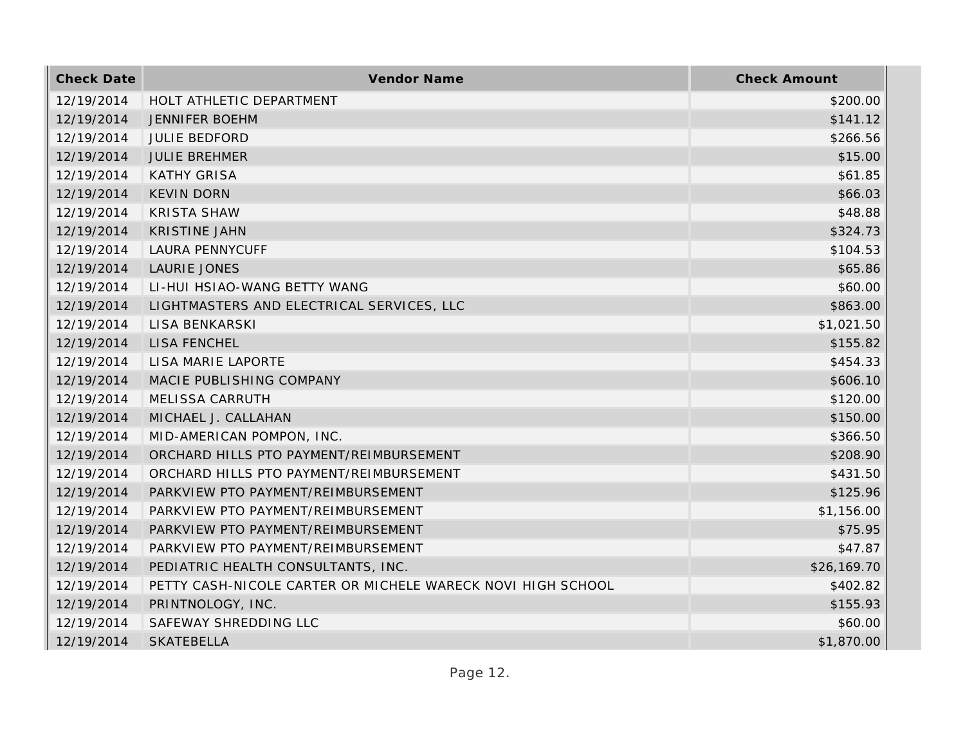| <b>Check Date</b> | Vendor Name                                                 | <b>Check Amount</b> |
|-------------------|-------------------------------------------------------------|---------------------|
| 12/19/2014        | HOLT ATHLETIC DEPARTMENT                                    | \$200.00            |
| 12/19/2014        | <b>JENNIFER BOEHM</b>                                       | \$141.12            |
| 12/19/2014        | <b>JULIE BEDFORD</b>                                        | \$266.56            |
| 12/19/2014        | <b>JULIE BREHMER</b>                                        | \$15.00             |
| 12/19/2014        | <b>KATHY GRISA</b>                                          | \$61.85             |
| 12/19/2014        | <b>KEVIN DORN</b>                                           | \$66.03             |
| 12/19/2014        | <b>KRISTA SHAW</b>                                          | \$48.88             |
| 12/19/2014        | <b>KRISTINE JAHN</b>                                        | \$324.73            |
| 12/19/2014        | <b>LAURA PENNYCUFF</b>                                      | \$104.53            |
| 12/19/2014        | LAURIE JONES                                                | \$65.86             |
| 12/19/2014        | LI-HUI HSIAO-WANG BETTY WANG                                | \$60.00             |
| 12/19/2014        | LIGHTMASTERS AND ELECTRICAL SERVICES, LLC                   | \$863.00            |
| 12/19/2014        | LISA BENKARSKI                                              | \$1,021.50          |
| 12/19/2014        | <b>LISA FENCHEL</b>                                         | \$155.82            |
| 12/19/2014        | LISA MARIE LAPORTE                                          | \$454.33            |
| 12/19/2014        | MACIE PUBLISHING COMPANY                                    | \$606.10            |
| 12/19/2014        | MELISSA CARRUTH                                             | \$120.00            |
| 12/19/2014        | MICHAEL J. CALLAHAN                                         | \$150.00            |
| 12/19/2014        | MID-AMERICAN POMPON, INC.                                   | \$366.50            |
| 12/19/2014        | ORCHARD HILLS PTO PAYMENT/REIMBURSEMENT                     | \$208.90            |
| 12/19/2014        | ORCHARD HILLS PTO PAYMENT/REIMBURSEMENT                     | \$431.50            |
| 12/19/2014        | PARKVIEW PTO PAYMENT/REIMBURSEMENT                          | \$125.96            |
| 12/19/2014        | PARKVIEW PTO PAYMENT/REIMBURSEMENT                          | \$1,156.00          |
| 12/19/2014        | PARKVIEW PTO PAYMENT/REIMBURSEMENT                          | \$75.95             |
| 12/19/2014        | PARKVIEW PTO PAYMENT/REIMBURSEMENT                          | \$47.87             |
| 12/19/2014        | PEDIATRIC HEALTH CONSULTANTS, INC.                          | \$26,169.70         |
| 12/19/2014        | PETTY CASH-NICOLE CARTER OR MICHELE WARECK NOVI HIGH SCHOOL | \$402.82            |
| 12/19/2014        | PRINTNOLOGY, INC.                                           | \$155.93            |
| 12/19/2014        | SAFEWAY SHREDDING LLC                                       | \$60.00             |
| 12/19/2014        | <b>SKATEBELLA</b>                                           | \$1,870.00          |